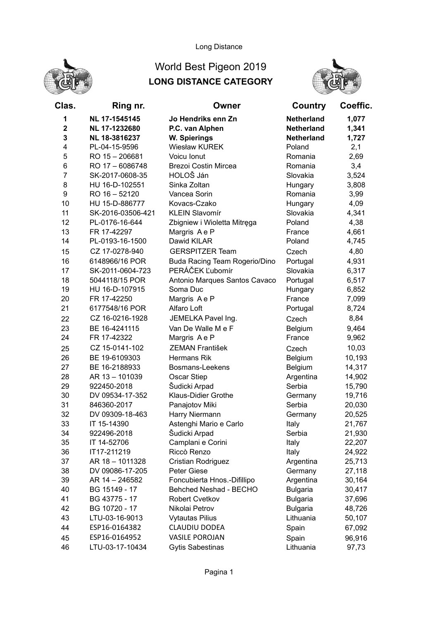

## Long Distance

## World Best Pigeon 2019 LONG DISTANCE CATEGORY



| Clas.                   | Ring nr.                   | Owner                                   | Country           | Coeffic.         |
|-------------------------|----------------------------|-----------------------------------------|-------------------|------------------|
| 1                       | NL 17-1545145              | Jo Hendriks enn Zn                      | <b>Netherland</b> | 1,077            |
| $\overline{\mathbf{2}}$ | NL 17-1232680              | P.C. van Alphen                         | <b>Netherland</b> | 1,341            |
| 3                       | NL 18-3816237              | W. Spierings                            | <b>Netherland</b> | 1,727            |
| 4                       | PL-04-15-9596              | <b>Wiesław KUREK</b>                    | Poland            | 2,1              |
| 5                       | RO 15 - 206681             | Voicu Ionut                             | Romania           | 2,69             |
| 6                       | RO 17 - 6086748            | <b>Brezoi Costin Mircea</b>             | Romania           | 3,4              |
| $\overline{7}$          | SK-2017-0608-35            | HOLOŠ Ján                               | Slovakia          | 3,524            |
| 8                       | HU 16-D-102551             | Sinka Zoltan                            | Hungary           | 3,808            |
| 9                       | RO 16 - 52120              | Vancea Sorin                            | Romania           | 3,99             |
| 10                      | HU 15-D-886777             | Kovacs-Czako                            | Hungary           | 4,09             |
| 11                      | SK-2016-03506-421          | <b>KLEIN Slavomír</b>                   | Slovakia          | 4,341            |
| 12                      | PL-0176-16-644             | Zbigniew i Wioletta Mitręga             | Poland            | 4,38             |
| 13                      | FR 17-42297                | Margris Ae P                            | France            | 4,661            |
| 14                      | PL-0193-16-1500            | Dawid KILAR                             | Poland            | 4,745            |
| 15                      | CZ 17-0278-940             | <b>GERSPITZER Team</b>                  | Czech             | 4,80             |
| 16                      | 6148966/16 POR             | Buda Racing Team Rogerio/Dino           | Portugal          | 4,931            |
| 17                      | SK-2011-0604-723           | PERÁČEK Ľubomír                         | Slovakia          | 6,317            |
| 18                      | 5044118/15 POR             | Antonio Marques Santos Cavaco           | Portugal          | 6,517            |
| 19                      | HU 16-D-107915             | Soma Duc                                | Hungary           | 6,852            |
| 20                      | FR 17-42250                | Margris Ae P                            | France            | 7,099            |
| 21                      | 6177548/16 POR             | Alfaro Loft                             | Portugal          | 8,724            |
| 22                      | CZ 16-0216-1928            | JEMELKA Pavel Ing.                      | Czech             | 8,84             |
| 23                      | BE 16-4241115              | Van De Walle M e F                      | Belgium           | 9,464            |
| 24                      | FR 17-42322                | Margris Ae P                            | France            | 9,962            |
| 25                      | CZ 15-0141-102             | <b>ZEMAN František</b>                  | Czech             | 10,03            |
| 26                      | BE 19-6109303              | <b>Hermans Rik</b>                      | Belgium           | 10,193           |
| 27                      | BE 16-2188933              | Bosmans-Leekens                         | Belgium           | 14,317           |
| 28                      | AR 13-101039               | Oscar Stiep                             | Argentina         | 14,902           |
| 29                      | 922450-2018                | Šudicki Arpad                           | Serbia            | 15,790           |
| 30                      | DV 09534-17-352            | Klaus-Didier Grothe                     | Germany           | 19,716           |
| 31                      | 846360-2017                | Panajotov Miki                          | Serbia            | 20,030           |
| 32                      | DV 09309-18-463            | Harry Niermann                          | Germany           | 20,525           |
| 33<br>34                | IT 15-14390<br>922496-2018 | Astenghi Mario e Carlo<br>Šudicki Arpad | Italy<br>Serbia   | 21,767           |
|                         |                            |                                         |                   | 21,930           |
| 35<br>36                | IT 14-52706<br>IT17-211219 | Camplani e Corini<br>Riccò Renzo        | Italy<br>Italy    | 22,207<br>24,922 |
| 37                      | AR 18 - 1011328            | Cristian Rodriguez                      | Argentina         | 25,713           |
| 38                      | DV 09086-17-205            | Peter Giese                             | Germany           | 27,118           |
| 39                      | AR 14 - 246582             | Foncubierta Hnos.-Difillipo             | Argentina         | 30,164           |
| 40                      | BG 15149 - 17              | Behched Neshad - BECHO                  | <b>Bulgaria</b>   | 30,417           |
| 41                      | BG 43775 - 17              | Robert Cvetkov                          | <b>Bulgaria</b>   | 37,696           |
| 42                      | BG 10720 - 17              | Nikolai Petrov                          | <b>Bulgaria</b>   | 48,726           |
| 43                      | LTU-03-16-9013             | <b>Vytautas Pilius</b>                  | Lithuania         | 50,107           |
| 44                      | ESP16-0164382              | CLAUDIU DODEA                           | Spain             | 67,092           |
| 45                      | ESP16-0164952              | <b>VASILE POROJAN</b>                   | Spain             | 96,916           |
| 46                      | LTU-03-17-10434            | <b>Gytis Sabestinas</b>                 | Lithuania         | 97,73            |
|                         |                            |                                         |                   |                  |